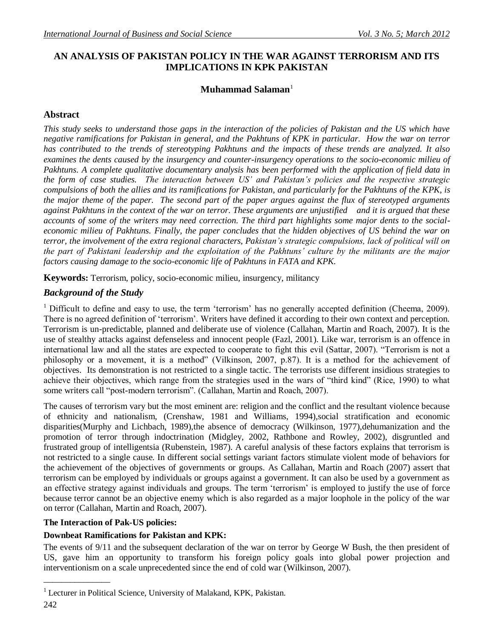# **AN ANALYSIS OF PAKISTAN POLICY IN THE WAR AGAINST TERRORISM AND ITS IMPLICATIONS IN KPK PAKISTAN**

## **Muhammad Salaman**<sup>1</sup>

## **Abstract**

*This study seeks to understand those gaps in the interaction of the policies of Pakistan and the US which have negative ramifications for Pakistan in general, and the Pakhtuns of KPK in particular. How the war on terror has contributed to the trends of stereotyping Pakhtuns and the impacts of these trends are analyzed. It also examines the dents caused by the insurgency and counter-insurgency operations to the socio-economic milieu of Pakhtuns. A complete qualitative documentary analysis has been performed with the application of field data in the form of case studies. The interaction between US' and Pakistan's policies and the respective strategic compulsions of both the allies and its ramifications for Pakistan, and particularly for the Pakhtuns of the KPK, is the major theme of the paper. The second part of the paper argues against the flux of stereotyped arguments against Pakhtuns in the context of the war on terror. These arguments are unjustified and it is argued that these accounts of some of the writers may need correction. The third part highlights some major dents to the socialeconomic milieu of Pakhtuns. Finally, the paper concludes that the hidden objectives of US behind the war on terror, the involvement of the extra regional characters, Pakistan's strategic compulsions, lack of political will on the part of Pakistani leadership and the exploitation of the Pakhtuns' culture by the militants are the major factors causing damage to the socio-economic life of Pakhtuns in FATA and KPK.*

**Keywords:** Terrorism, policy, socio-economic milieu, insurgency, militancy

## *Background of the Study*

<sup>1</sup> Difficult to define and easy to use, the term 'terrorism' has no generally accepted definition (Cheema, 2009). There is no agreed definition of "terrorism". Writers have defined it according to their own context and perception. Terrorism is un-predictable, planned and deliberate use of violence (Callahan, Martin and Roach, 2007). It is the use of stealthy attacks against defenseless and innocent people (Fazl, 2001). Like war, terrorism is an offence in international law and all the states are expected to cooperate to fight this evil (Sattar, 2007). "Terrorism is not a philosophy or a movement, it is a method" (Vilkinson, 2007, p.87). It is a method for the achievement of objectives. Its demonstration is not restricted to a single tactic. The terrorists use different insidious strategies to achieve their objectives, which range from the strategies used in the wars of "third kind" (Rice, 1990) to what some writers call "post-modern terrorism". (Callahan, Martin and Roach, 2007).

The causes of terrorism vary but the most eminent are: religion and the conflict and the resultant violence because of ethnicity and nationalism, (Crenshaw, 1981 and Williams, 1994),social stratification and economic disparities(Murphy and Lichbach, 1989),the absence of democracy (Wilkinson, 1977),dehumanization and the promotion of terror through indoctrination (Midgley, 2002, Rathbone and Rowley, 2002), disgruntled and frustrated group of intelligentsia (Rubenstein, 1987). A careful analysis of these factors explains that terrorism is not restricted to a single cause. In different social settings variant factors stimulate violent mode of behaviors for the achievement of the objectives of governments or groups. As Callahan, Martin and Roach (2007) assert that terrorism can be employed by individuals or groups against a government. It can also be used by a government as an effective strategy against individuals and groups. The term "terrorism" is employed to justify the use of force because terror cannot be an objective enemy which is also regarded as a major loophole in the policy of the war on terror (Callahan, Martin and Roach, 2007).

### **The Interaction of Pak-US policies:**

### **Downbeat Ramifications for Pakistan and KPK:**

The events of 9/11 and the subsequent declaration of the war on terror by George W Bush, the then president of US, gave him an opportunity to transform his foreign policy goals into global power projection and interventionism on a scale unprecedented since the end of cold war (Wilkinson, 2007).

\_\_\_\_\_\_\_\_\_\_\_\_\_\_\_

<sup>&</sup>lt;sup>1</sup> Lecturer in Political Science, University of Malakand, KPK, Pakistan.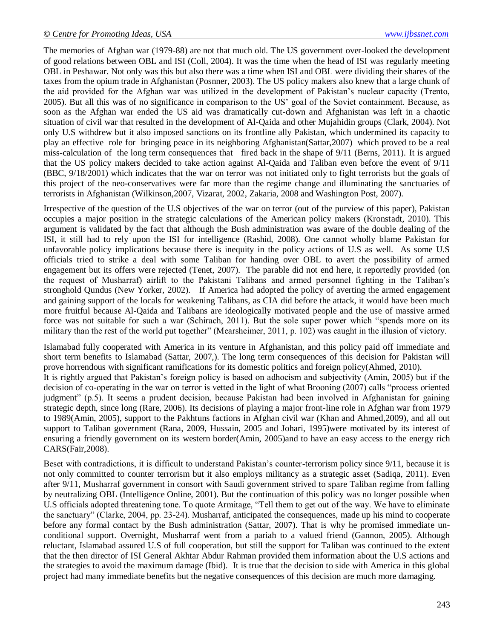The memories of Afghan war (1979-88) are not that much old. The US government over-looked the development of good relations between OBL and ISI (Coll, 2004). It was the time when the head of ISI was regularly meeting OBL in Peshawar. Not only was this but also there was a time when ISI and OBL were dividing their shares of the taxes from the opium trade in Afghanistan (Posnner, 2003). The US policy makers also knew that a large chunk of the aid provided for the Afghan war was utilized in the development of Pakistan"s nuclear capacity (Trento, 2005). But all this was of no significance in comparison to the US" goal of the Soviet containment. Because, as soon as the Afghan war ended the US aid was dramatically cut-down and Afghanistan was left in a chaotic situation of civil war that resulted in the development of Al-Qaida and other Mujahidin groups (Clark, 2004). Not only U.S withdrew but it also imposed sanctions on its frontline ally Pakistan, which undermined its capacity to play an effective role for bringing peace in its neighboring Afghanistan(Sattar,2007) which proved to be a real miss-calculation of the long term consequences that fired back in the shape of 9/11 (Berns, 2011). It is argued that the US policy makers decided to take action against Al-Qaida and Taliban even before the event of 9/11 (BBC, 9/18/2001) which indicates that the war on terror was not initiated only to fight terrorists but the goals of this project of the neo-conservatives were far more than the regime change and illuminating the sanctuaries of terrorists in Afghanistan (Wilkinson,2007, Vizarat, 2002, Zakaria, 2008 and Washington Post, 2007).

Irrespective of the question of the U.S objectives of the war on terror (out of the purview of this paper), Pakistan occupies a major position in the strategic calculations of the American policy makers (Kronstadt, 2010). This argument is validated by the fact that although the Bush administration was aware of the double dealing of the ISI, it still had to rely upon the ISI for intelligence (Rashid, 2008). One cannot wholly blame Pakistan for unfavorable policy implications because there is inequity in the policy actions of U.S as well. As some U.S officials tried to strike a deal with some Taliban for handing over OBL to avert the possibility of armed engagement but its offers were rejected (Tenet, 2007). The parable did not end here, it reportedly provided (on the request of Musharraf) airlift to the Pakistani Talibans and armed personnel fighting in the Taliban"s stronghold Qundus (New Yorker, 2002). If America had adopted the policy of averting the armed engagement and gaining support of the locals for weakening Talibans, as CIA did before the attack, it would have been much more fruitful because Al-Qaida and Talibans are ideologically motivated people and the use of massive armed force was not suitable for such a war (Schirach, 2011). But the sole super power which "spends more on its military than the rest of the world put together" (Mearsheimer, 2011, p. 102) was caught in the illusion of victory.

Islamabad fully cooperated with America in its venture in Afghanistan, and this policy paid off immediate and short term benefits to Islamabad (Sattar, 2007,). The long term consequences of this decision for Pakistan will prove horrendous with significant ramifications for its domestic politics and foreign policy(Ahmed, 2010). It is rightly argued that Pakistan"s foreign policy is based on adhocism and subjectivity (Amin, 2005) but if the decision of co-operating in the war on terror is vetted in the light of what Brooning (2007) calls "process oriented judgment" (p.5). It seems a prudent decision, because Pakistan had been involved in Afghanistan for gaining strategic depth, since long (Rare, 2006). Its decisions of playing a major front-line role in Afghan war from 1979 to 1989(Amin, 2005), support to the Pakhtuns factions in Afghan civil war (Khan and Ahmed,2009), and all out support to Taliban government (Rana, 2009, Hussain, 2005 and Johari, 1995)were motivated by its interest of ensuring a friendly government on its western border(Amin, 2005)and to have an easy access to the energy rich CARS(Fair,2008).

Beset with contradictions, it is difficult to understand Pakistan"s counter-terrorism policy since 9/11, because it is not only committed to counter terrorism but it also employs militancy as a strategic asset (Sadiqa, 2011). Even after 9/11, Musharraf government in consort with Saudi government strived to spare Taliban regime from falling by neutralizing OBL (Intelligence Online, 2001). But the continuation of this policy was no longer possible when U.S officials adopted threatening tone. To quote Armitage, "Tell them to get out of the way. We have to eliminate the sanctuary" (Clarke, 2004, pp. 23-24). Musharraf, anticipated the consequences, made up his mind to cooperate before any formal contact by the Bush administration (Sattar, 2007). That is why he promised immediate unconditional support. Overnight, Musharraf went from a pariah to a valued friend (Gannon, 2005). Although reluctant, Islamabad assured U.S of full cooperation, but still the support for Taliban was continued to the extent that the then director of ISI General Akhtar Abdur Rahman provided them information about the U.S actions and the strategies to avoid the maximum damage (Ibid). It is true that the decision to side with America in this global project had many immediate benefits but the negative consequences of this decision are much more damaging.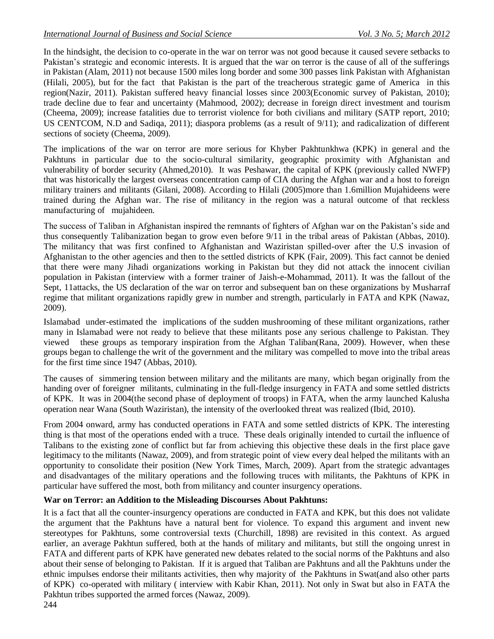In the hindsight, the decision to co-operate in the war on terror was not good because it caused severe setbacks to Pakistan's strategic and economic interests. It is argued that the war on terror is the cause of all of the sufferings in Pakistan (Alam, 2011) not because 1500 miles long border and some 300 passes link Pakistan with Afghanistan (Hilali, 2005), but for the fact that Pakistan is the part of the treacherous strategic game of America in this region(Nazir, 2011). Pakistan suffered heavy financial losses since 2003(Economic survey of Pakistan, 2010); trade decline due to fear and uncertainty (Mahmood, 2002); decrease in foreign direct investment and tourism (Cheema, 2009); increase fatalities due to terrorist violence for both civilians and military (SATP report, 2010; US CENTCOM, N.D and Sadiqa, 2011); diaspora problems (as a result of 9/11); and radicalization of different sections of society (Cheema, 2009).

The implications of the war on terror are more serious for Khyber Pakhtunkhwa (KPK) in general and the Pakhtuns in particular due to the socio-cultural similarity, geographic proximity with Afghanistan and vulnerability of border security (Ahmed,2010). It was Peshawar, the capital of KPK (previously called NWFP) that was historically the largest overseas concentration camp of CIA during the Afghan war and a host to foreign military trainers and militants (Gilani, 2008). According to Hilali (2005)more than 1.6million Mujahideens were trained during the Afghan war. The rise of militancy in the region was a natural outcome of that reckless manufacturing of mujahideen.

The success of Taliban in Afghanistan inspired the remnants of fighters of Afghan war on the Pakistan"s side and thus consequently Talibanization began to grow even before 9/11 in the tribal areas of Pakistan (Abbas, 2010). The militancy that was first confined to Afghanistan and Waziristan spilled-over after the U.S invasion of Afghanistan to the other agencies and then to the settled districts of KPK (Fair, 2009). This fact cannot be denied that there were many Jihadi organizations working in Pakistan but they did not attack the innocent civilian population in Pakistan (interview with a former trainer of Jaish-e-Mohammad, 2011). It was the fallout of the Sept, 11attacks, the US declaration of the war on terror and subsequent ban on these organizations by Musharraf regime that militant organizations rapidly grew in number and strength, particularly in FATA and KPK (Nawaz, 2009).

Islamabad under-estimated the implications of the sudden mushrooming of these militant organizations, rather many in Islamabad were not ready to believe that these militants pose any serious challenge to Pakistan. They viewed these groups as temporary inspiration from the Afghan Taliban(Rana, 2009). However, when these groups began to challenge the writ of the government and the military was compelled to move into the tribal areas for the first time since 1947 (Abbas, 2010).

The causes of simmering tension between military and the militants are many, which began originally from the handing over of foreigner militants, culminating in the full-fledge insurgency in FATA and some settled districts of KPK. It was in 2004(the second phase of deployment of troops) in FATA, when the army launched Kalusha operation near Wana (South Waziristan), the intensity of the overlooked threat was realized (Ibid, 2010).

From 2004 onward, army has conducted operations in FATA and some settled districts of KPK. The interesting thing is that most of the operations ended with a truce. These deals originally intended to curtail the influence of Talibans to the existing zone of conflict but far from achieving this objective these deals in the first place gave legitimacy to the militants (Nawaz, 2009), and from strategic point of view every deal helped the militants with an opportunity to consolidate their position (New York Times, March, 2009). Apart from the strategic advantages and disadvantages of the military operations and the following truces with militants, the Pakhtuns of KPK in particular have suffered the most, both from militancy and counter insurgency operations.

### **War on Terror: an Addition to the Misleading Discourses About Pakhtuns:**

It is a fact that all the counter-insurgency operations are conducted in FATA and KPK, but this does not validate the argument that the Pakhtuns have a natural bent for violence. To expand this argument and invent new stereotypes for Pakhtuns, some controversial texts (Churchill, 1898) are revisited in this context. As argued earlier, an average Pakhtun suffered, both at the hands of military and militants, but still the ongoing unrest in FATA and different parts of KPK have generated new debates related to the social norms of the Pakhtuns and also about their sense of belonging to Pakistan. If it is argued that Taliban are Pakhtuns and all the Pakhtuns under the ethnic impulses endorse their militants activities, then why majority of the Pakhtuns in Swat(and also other parts of KPK) co-operated with military ( interview with Kabir Khan, 2011). Not only in Swat but also in FATA the Pakhtun tribes supported the armed forces (Nawaz, 2009).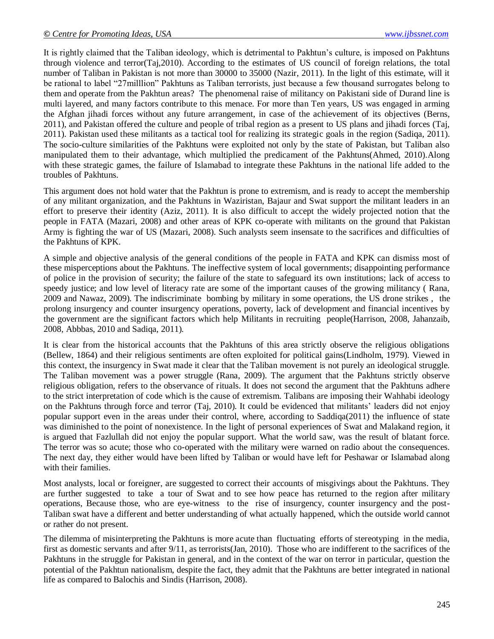It is rightly claimed that the Taliban ideology, which is detrimental to Pakhtun"s culture, is imposed on Pakhtuns through violence and terror(Taj,2010). According to the estimates of US council of foreign relations, the total number of Taliban in Pakistan is not more than 30000 to 35000 (Nazir, 2011). In the light of this estimate, will it be rational to label "27milllion" Pakhtuns as Taliban terrorists, just because a few thousand surrogates belong to them and operate from the Pakhtun areas? The phenomenal raise of militancy on Pakistani side of Durand line is multi layered, and many factors contribute to this menace. For more than Ten years, US was engaged in arming the Afghan jihadi forces without any future arrangement, in case of the achievement of its objectives (Berns, 2011), and Pakistan offered the culture and people of tribal region as a present to US plans and jihadi forces (Taj, 2011). Pakistan used these militants as a tactical tool for realizing its strategic goals in the region (Sadiqa, 2011). The socio-culture similarities of the Pakhtuns were exploited not only by the state of Pakistan, but Taliban also manipulated them to their advantage, which multiplied the predicament of the Pakhtuns(Ahmed, 2010).Along with these strategic games, the failure of Islamabad to integrate these Pakhtuns in the national life added to the troubles of Pakhtuns.

This argument does not hold water that the Pakhtun is prone to extremism, and is ready to accept the membership of any militant organization, and the Pakhtuns in Waziristan, Bajaur and Swat support the militant leaders in an effort to preserve their identity (Aziz, 2011). It is also difficult to accept the widely projected notion that the people in FATA (Mazari, 2008) and other areas of KPK co-operate with militants on the ground that Pakistan Army is fighting the war of US (Mazari, 2008). Such analysts seem insensate to the sacrifices and difficulties of the Pakhtuns of KPK.

A simple and objective analysis of the general conditions of the people in FATA and KPK can dismiss most of these misperceptions about the Pakhtuns. The ineffective system of local governments; disappointing performance of police in the provision of security; the failure of the state to safeguard its own institutions; lack of access to speedy justice; and low level of literacy rate are some of the important causes of the growing militancy ( Rana, 2009 and Nawaz, 2009). The indiscriminate bombing by military in some operations, the US drone strikes , the prolong insurgency and counter insurgency operations, poverty, lack of development and financial incentives by the government are the significant factors which help Militants in recruiting people(Harrison, 2008, Jahanzaib, 2008, Abbbas, 2010 and Sadiqa, 2011).

It is clear from the historical accounts that the Pakhtuns of this area strictly observe the religious obligations (Bellew, 1864) and their religious sentiments are often exploited for political gains(Lindholm, 1979). Viewed in this context, the insurgency in Swat made it clear that the Taliban movement is not purely an ideological struggle. The Taliban movement was a power struggle (Rana, 2009). The argument that the Pakhtuns strictly observe religious obligation, refers to the observance of rituals. It does not second the argument that the Pakhtuns adhere to the strict interpretation of code which is the cause of extremism. Talibans are imposing their Wahhabi ideology on the Pakhtuns through force and terror (Taj, 2010). It could be evidenced that militants" leaders did not enjoy popular support even in the areas under their control, where, according to Saddiqa(2011) the influence of state was diminished to the point of nonexistence. In the light of personal experiences of Swat and Malakand region, it is argued that Fazlullah did not enjoy the popular support. What the world saw, was the result of blatant force. The terror was so acute; those who co-operated with the military were warned on radio about the consequences. The next day, they either would have been lifted by Taliban or would have left for Peshawar or Islamabad along with their families.

Most analysts, local or foreigner, are suggested to correct their accounts of misgivings about the Pakhtuns. They are further suggested to take a tour of Swat and to see how peace has returned to the region after military operations, Because those, who are eye-witness to the rise of insurgency, counter insurgency and the post-Taliban swat have a different and better understanding of what actually happened, which the outside world cannot or rather do not present.

The dilemma of misinterpreting the Pakhtuns is more acute than fluctuating efforts of stereotyping in the media, first as domestic servants and after 9/11, as terrorists(Jan, 2010). Those who are indifferent to the sacrifices of the Pakhtuns in the struggle for Pakistan in general, and in the context of the war on terror in particular, question the potential of the Pakhtun nationalism, despite the fact, they admit that the Pakhtuns are better integrated in national life as compared to Balochis and Sindis (Harrison, 2008).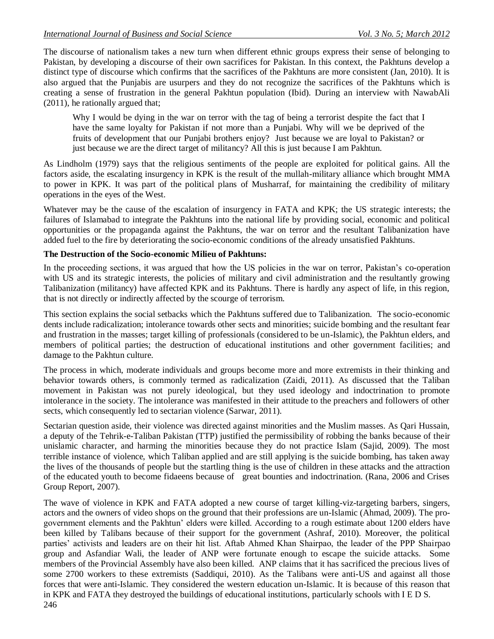The discourse of nationalism takes a new turn when different ethnic groups express their sense of belonging to Pakistan, by developing a discourse of their own sacrifices for Pakistan. In this context, the Pakhtuns develop a distinct type of discourse which confirms that the sacrifices of the Pakhtuns are more consistent (Jan, 2010). It is also argued that the Punjabis are usurpers and they do not recognize the sacrifices of the Pakhtuns which is creating a sense of frustration in the general Pakhtun population (Ibid). During an interview with NawabAli (2011), he rationally argued that;

Why I would be dying in the war on terror with the tag of being a terrorist despite the fact that I have the same loyalty for Pakistan if not more than a Punjabi. Why will we be deprived of the fruits of development that our Punjabi brothers enjoy? Just because we are loyal to Pakistan? or just because we are the direct target of militancy? All this is just because I am Pakhtun.

As Lindholm (1979) says that the religious sentiments of the people are exploited for political gains. All the factors aside, the escalating insurgency in KPK is the result of the mullah-military alliance which brought MMA to power in KPK. It was part of the political plans of Musharraf, for maintaining the credibility of military operations in the eyes of the West.

Whatever may be the cause of the escalation of insurgency in FATA and KPK; the US strategic interests; the failures of Islamabad to integrate the Pakhtuns into the national life by providing social, economic and political opportunities or the propaganda against the Pakhtuns, the war on terror and the resultant Talibanization have added fuel to the fire by deteriorating the socio-economic conditions of the already unsatisfied Pakhtuns.

#### **The Destruction of the Socio-economic Milieu of Pakhtuns:**

In the proceeding sections, it was argued that how the US policies in the war on terror, Pakistan's co-operation with US and its strategic interests, the policies of military and civil administration and the resultantly growing Talibanization (militancy) have affected KPK and its Pakhtuns. There is hardly any aspect of life, in this region, that is not directly or indirectly affected by the scourge of terrorism.

This section explains the social setbacks which the Pakhtuns suffered due to Talibanization. The socio-economic dents include radicalization; intolerance towards other sects and minorities; suicide bombing and the resultant fear and frustration in the masses; target killing of professionals (considered to be un-Islamic), the Pakhtun elders, and members of political parties; the destruction of educational institutions and other government facilities; and damage to the Pakhtun culture.

The process in which, moderate individuals and groups become more and more extremists in their thinking and behavior towards others, is commonly termed as radicalization (Zaidi, 2011). As discussed that the Taliban movement in Pakistan was not purely ideological, but they used ideology and indoctrination to promote intolerance in the society. The intolerance was manifested in their attitude to the preachers and followers of other sects, which consequently led to sectarian violence (Sarwar, 2011).

Sectarian question aside, their violence was directed against minorities and the Muslim masses. As Qari Hussain, a deputy of the Tehrik-e-Taliban Pakistan (TTP) justified the permissibility of robbing the banks because of their unislamic character, and harming the minorities because they do not practice Islam (Sajid, 2009). The most terrible instance of violence, which Taliban applied and are still applying is the suicide bombing, has taken away the lives of the thousands of people but the startling thing is the use of children in these attacks and the attraction of the educated youth to become fidaeens because of great bounties and indoctrination. (Rana, 2006 and Crises Group Report, 2007).

246 The wave of violence in KPK and FATA adopted a new course of target killing-viz-targeting barbers, singers, actors and the owners of video shops on the ground that their professions are un-Islamic (Ahmad, 2009). The progovernment elements and the Pakhtun" elders were killed. According to a rough estimate about 1200 elders have been killed by Talibans because of their support for the government (Ashraf, 2010). Moreover, the political parties' activists and leaders are on their hit list. Aftab Ahmed Khan Shairpao, the leader of the PPP Shairpao group and Asfandiar Wali, the leader of ANP were fortunate enough to escape the suicide attacks. Some members of the Provincial Assembly have also been killed. ANP claims that it has sacrificed the precious lives of some 2700 workers to these extremists (Saddiqui, 2010). As the Talibans were anti-US and against all those forces that were anti-Islamic. They considered the western education un-Islamic. It is because of this reason that in KPK and FATA they destroyed the buildings of educational institutions, particularly schools with I E D S.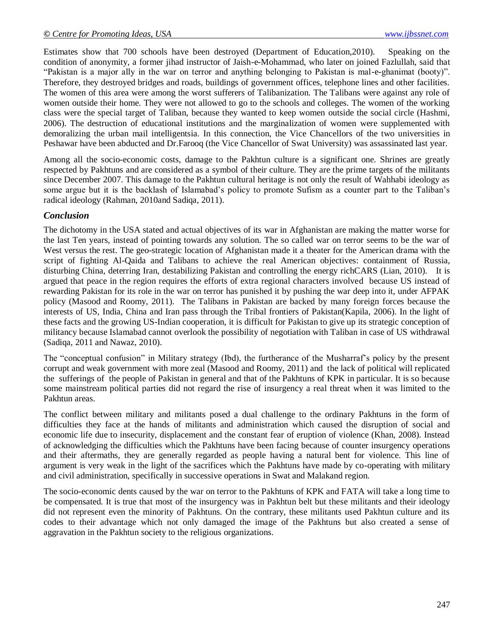Estimates show that 700 schools have been destroyed (Department of Education,2010). Speaking on the condition of anonymity, a former jihad instructor of Jaish-e-Mohammad, who later on joined Fazlullah, said that "Pakistan is a major ally in the war on terror and anything belonging to Pakistan is mal-e-ghanimat (booty)". Therefore, they destroyed bridges and roads, buildings of government offices, telephone lines and other facilities. The women of this area were among the worst sufferers of Talibanization. The Talibans were against any role of women outside their home. They were not allowed to go to the schools and colleges. The women of the working class were the special target of Taliban, because they wanted to keep women outside the social circle (Hashmi, 2006). The destruction of educational institutions and the marginalization of women were supplemented with demoralizing the urban mail intelligentsia. In this connection, the Vice Chancellors of the two universities in Peshawar have been abducted and Dr.Farooq (the Vice Chancellor of Swat University) was assassinated last year.

Among all the socio-economic costs, damage to the Pakhtun culture is a significant one. Shrines are greatly respected by Pakhtuns and are considered as a symbol of their culture. They are the prime targets of the militants since December 2007. This damage to the Pakhtun cultural heritage is not only the result of Wahhabi ideology as some argue but it is the backlash of Islamabad's policy to promote Sufism as a counter part to the Taliban's radical ideology (Rahman, 2010and Sadiqa, 2011).

### *Conclusion*

The dichotomy in the USA stated and actual objectives of its war in Afghanistan are making the matter worse for the last Ten years, instead of pointing towards any solution. The so called war on terror seems to be the war of West versus the rest. The geo-strategic location of Afghanistan made it a theater for the American drama with the script of fighting Al-Qaida and Talibans to achieve the real American objectives: containment of Russia, disturbing China, deterring Iran, destabilizing Pakistan and controlling the energy richCARS (Lian, 2010). It is argued that peace in the region requires the efforts of extra regional characters involved because US instead of rewarding Pakistan for its role in the war on terror has punished it by pushing the war deep into it, under AFPAK policy (Masood and Roomy, 2011). The Talibans in Pakistan are backed by many foreign forces because the interests of US, India, China and Iran pass through the Tribal frontiers of Pakistan(Kapila, 2006). In the light of these facts and the growing US-Indian cooperation, it is difficult for Pakistan to give up its strategic conception of militancy because Islamabad cannot overlook the possibility of negotiation with Taliban in case of US withdrawal (Sadiqa, 2011 and Nawaz, 2010).

The "conceptual confusion" in Military strategy (Ibd), the furtherance of the Musharraf"s policy by the present corrupt and weak government with more zeal (Masood and Roomy, 2011) and the lack of political will replicated the sufferings of the people of Pakistan in general and that of the Pakhtuns of KPK in particular. It is so because some mainstream political parties did not regard the rise of insurgency a real threat when it was limited to the Pakhtun areas.

The conflict between military and militants posed a dual challenge to the ordinary Pakhtuns in the form of difficulties they face at the hands of militants and administration which caused the disruption of social and economic life due to insecurity, displacement and the constant fear of eruption of violence (Khan, 2008). Instead of acknowledging the difficulties which the Pakhtuns have been facing because of counter insurgency operations and their aftermaths, they are generally regarded as people having a natural bent for violence. This line of argument is very weak in the light of the sacrifices which the Pakhtuns have made by co-operating with military and civil administration, specifically in successive operations in Swat and Malakand region.

The socio-economic dents caused by the war on terror to the Pakhtuns of KPK and FATA will take a long time to be compensated. It is true that most of the insurgency was in Pakhtun belt but these militants and their ideology did not represent even the minority of Pakhtuns. On the contrary, these militants used Pakhtun culture and its codes to their advantage which not only damaged the image of the Pakhtuns but also created a sense of aggravation in the Pakhtun society to the religious organizations.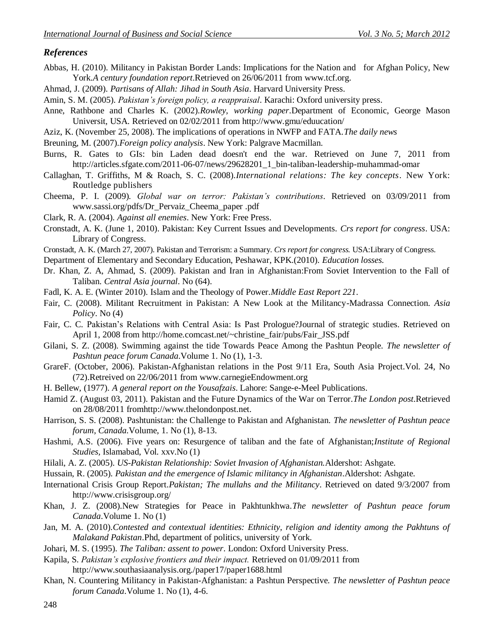#### *References*

- Abbas, H. (2010). Militancy in Pakistan Border Lands: Implications for the Nation and for Afghan Policy, New York.*A century foundation report*.Retrieved on 26/06/2011 from [www.tcf.org.](http://www.tcf.org/)
- Ahmad, J. (2009). *Partisans of Allah: Jihad in South Asia*. Harvard University Press.
- Amin, S. M. (2005). *Pakistan's foreign policy, a reappraisal*. Karachi: Oxford university press.
- Anne, Rathbone and Charles K. (2002).*Rowley, working paper*.Department of Economic, George Mason Universit, USA. Retrieved on 02/02/2011 from<http://www.gmu/eduucation/>
- Aziz, K. (November 25, 2008). The implications of operations in NWFP and FATA.*The daily news*
- Breuning, M. (2007).*Foreign policy analysis*. New York: Palgrave Macmillan.
- Burns, R. Gates to GIs: bin Laden dead doesn't end the war. Retrieved on June 7, 2011 from [http://articles.sfgate.com/2011-06-07/news/29628201\\_1\\_bin-taliban-leadership-muhammad-omar](http://articles.sfgate.com/2011-06-07/news/29628201_1_bin-taliban-leadership-muhammad-omar)
- Callaghan, T. Griffiths, M & Roach, S. C. (2008).*International relations: The key concepts*. New York: Routledge publishers
- Cheema, P. I. (2009). *Global war on terror: Pakistan's contributions*. Retrieved on 03/09/2011 from [www.sassi.org/pdfs/Dr\\_Pervaiz\\_Cheema\\_paper .pdf](http://www.sassi.org/pdfs/Dr_Pervaiz_Cheema_paper%20.pdf)
- Clark, R. A. (2004). *Against all enemies*. New York: Free Press.
- Cronstadt, A. K. (June 1, 2010). Pakistan: Key Current Issues and Developments. *Crs report for congress*. USA: Library of Congress.
- Cronstadt, A. K. (March 27, 2007). Pakistan and Terrorism: a Summary. *Crs report for congress.* USA:Library of Congress.
- Department of Elementary and Secondary Education, Peshawar, KPK.(2010). *Education losses.*
- Dr. Khan, Z. A, Ahmad, S. (2009). Pakistan and Iran in Afghanistan:From Soviet Intervention to the Fall of Taliban. *Central Asia journal*. No (64).
- Fadl, K. A. E. (Winter 2010). Islam and the Theology of Power.*Middle East Report 221*.
- Fair, C. (2008). Militant Recruitment in Pakistan: A New Look at the Militancy-Madrassa Connection. *Asia Policy*. No (4)
- Fair, C. C*.* Pakistan"s Relations with Central Asia: Is Past Prologue?Journal of strategic studies. Retrieved on April 1, 2008 from [http://home.comcast.net/~christine\\_fair/pubs/Fair\\_JSS.pdf](http://home.comcast.net/~christine_fair/pubs/Fair_JSS.pdf)
- Gilani, S. Z. (2008). Swimming against the tide Towards Peace Among the Pashtun People. *The newsletter of Pashtun peace forum Canada*.Volume 1. No (1), 1-3.
- GrareF. (October, 2006). Pakistan-Afghanistan relations in the Post 9/11 Era, South Asia Project.Vol. 24, No (72).Retreived on 22/06/2011 from [www.carnegieEndowment.org](http://www.carnegieendowment.org/)
- H. Bellew, (1977). *A general report on the Yousafzais*. Lahore: Sange-e-Meel Publications.
- Hamid Z. (August 03, 2011). Pakistan and the Future Dynamics of the War on Terror.*The London post*.Retrieved on 28/08/2011 fro[mhttp://www.thelondonpost.net.](http://www.thelondonpost.net/)
- Harrison, S. S. (2008). Pashtunistan: the Challenge to Pakistan and Afghanistan. *The newsletter of Pashtun peace forum, Canada*.Volume, 1. No (1), 8-13.
- Hashmi, A.S. (2006). Five years on: Resurgence of taliban and the fate of Afghanistan;*Institute of Regional Studies,* Islamabad, Vol. xxv.No (1)
- Hilali, A. Z. (2005). *US-Pakistan Relationship: Soviet Invasion of Afghanistan.*Aldershot: Ashgate.
- Hussain, R. (2005)*. Pakistan and the emergence of Islamic militancy in Afghanistan*.Aldershot: Ashgate.
- International Crisis Group Report.*Pakistan; The mullahs and the Militancy*. Retrieved on dated 9/3/2007 from <http://www.crisisgroup.org/>
- Khan, J. Z. (2008).New Strategies for Peace in Pakhtunkhwa.*The newsletter of Pashtun peace forum Canada*.Volume 1. No (1)
- Jan, M. A. (2010).*Contested and contextual identities: Ethnicity, religion and identity among the Pakhtuns of Malakand Pakistan*.Phd, department of politics, university of York.
- Johari, M. S. (1995). *The Taliban: assent to power*. London: Oxford University Press.
- Kapila, S. *Pakistan's explosive frontiers and their impact.* Retrieved on 01/09/2011 from <http://www.southasiaanalysis.org./paper17/paper1688.html>
- Khan, N. Countering Militancy in Pakistan-Afghanistan: a Pashtun Perspective. *The newsletter of Pashtun peace forum Canada*.Volume 1. No (1), 4-6.